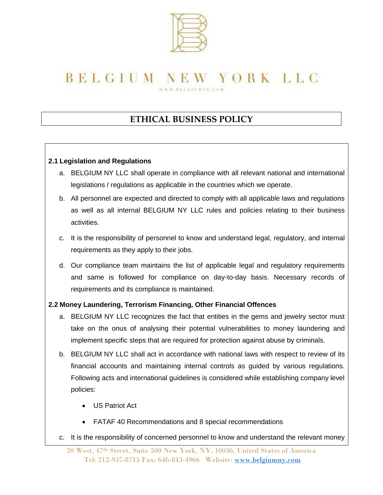

### **ETHICAL BUSINESS POLICY**

### **2.1 Legislation and Regulations**

- a. BELGIUM NY LLC shall operate in compliance with all relevant national and international legislations / regulations as applicable in the countries which we operate.
- b. All personnel are expected and directed to comply with all applicable laws and regulations as well as all internal BELGIUM NY LLC rules and policies relating to their business activities.
- c. It is the responsibility of personnel to know and understand legal, regulatory, and internal requirements as they apply to their jobs.
- d. Our compliance team maintains the list of applicable legal and regulatory requirements and same is followed for compliance on day-to-day basis. Necessary records of requirements and its compliance is maintained.

### **2.2 Money Laundering, Terrorism Financing, Other Financial Offences**

- a. BELGIUM NY LLC recognizes the fact that entities in the gems and jewelry sector must take on the onus of analysing their potential vulnerabilities to money laundering and implement specific steps that are required for protection against abuse by criminals.
- b. BELGIUM NY LLC shall act in accordance with national laws with respect to review of its financial accounts and maintaining internal controls as guided by various regulations. Following acts and international guidelines is considered while establishing company level policies:
	- US Patriot Act
	- FATAF 40 Recommendations and 8 special recommendations
- c. It is the responsibility of concerned personnel to know and understand the relevant money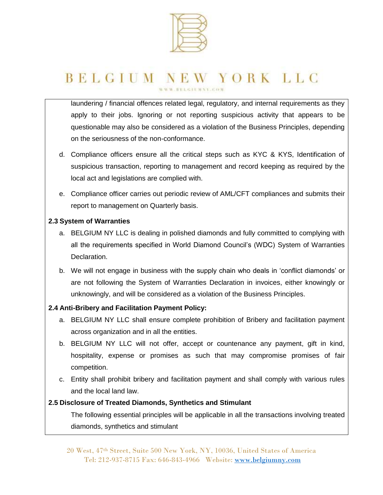

laundering / financial offences related legal, regulatory, and internal requirements as they apply to their jobs. Ignoring or not reporting suspicious activity that appears to be questionable may also be considered as a violation of the Business Principles, depending on the seriousness of the non-conformance.

- d. Compliance officers ensure all the critical steps such as KYC & KYS, Identification of suspicious transaction, reporting to management and record keeping as required by the local act and legislations are complied with.
- e. Compliance officer carries out periodic review of AML/CFT compliances and submits their report to management on Quarterly basis.

### **2.3 System of Warranties**

- a. BELGIUM NY LLC is dealing in polished diamonds and fully committed to complying with all the requirements specified in World Diamond Council's (WDC) System of Warranties Declaration.
- b. We will not engage in business with the supply chain who deals in 'conflict diamonds' or are not following the System of Warranties Declaration in invoices, either knowingly or unknowingly, and will be considered as a violation of the Business Principles.

### **2.4 Anti-Bribery and Facilitation Payment Policy:**

- a. BELGIUM NY LLC shall ensure complete prohibition of Bribery and facilitation payment across organization and in all the entities.
- b. BELGIUM NY LLC will not offer, accept or countenance any payment, gift in kind, hospitality, expense or promises as such that may compromise promises of fair competition.
- c. Entity shall prohibit bribery and facilitation payment and shall comply with various rules and the local land law.

### **2.5 Disclosure of Treated Diamonds, Synthetics and Stimulant**

The following essential principles will be applicable in all the transactions involving treated diamonds, synthetics and stimulant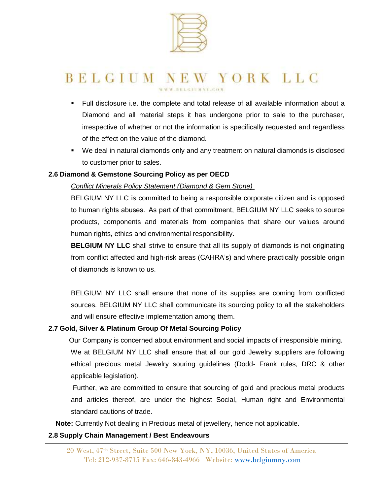

- Full disclosure i.e. the complete and total release of all available information about a Diamond and all material steps it has undergone prior to sale to the purchaser, irrespective of whether or not the information is specifically requested and regardless of the effect on the value of the diamond.
- We deal in natural diamonds only and any treatment on natural diamonds is disclosed to customer prior to sales.

### **2.6 Diamond & Gemstone Sourcing Policy as per OECD**

*Conflict Minerals Policy Statement (Diamond & Gem Stone)*

BELGIUM NY LLC is committed to being a responsible corporate citizen and is opposed to human rights abuses.  As part of that commitment, BELGIUM NY LLC seeks to source products, components and materials from companies that share our values around human rights, ethics and environmental responsibility.

**BELGIUM NY LLC** shall strive to ensure that all its supply of diamonds is not originating from conflict affected and high-risk areas (CAHRA's) and where practically possible origin of diamonds is known to us.

BELGIUM NY LLC shall ensure that none of its supplies are coming from conflicted sources. BELGIUM NY LLC shall communicate its sourcing policy to all the stakeholders and will ensure effective implementation among them.

### **2.7 Gold, Silver & Platinum Group Of Metal Sourcing Policy**

 Our Company is concerned about environment and social impacts of irresponsible mining. We at BELGIUM NY LLC shall ensure that all our gold Jewelry suppliers are following ethical precious metal Jewelry souring guidelines (Dodd- Frank rules, DRC & other applicable legislation).

 Further, we are committed to ensure that sourcing of gold and precious metal products and articles thereof, are under the highest Social, Human right and Environmental standard cautions of trade.

**Note:** Currently Not dealing in Precious metal of jewellery, hence not applicable.

### **2.8 Supply Chain Management / Best Endeavours**

20 West, 47th Street, Suite 500 New York, NY, 10036, United States of America Tel: 212-937-8715 Fax: 646-843-4966 Website: [www.belgiumny.com](http://www.belgiumny.com/)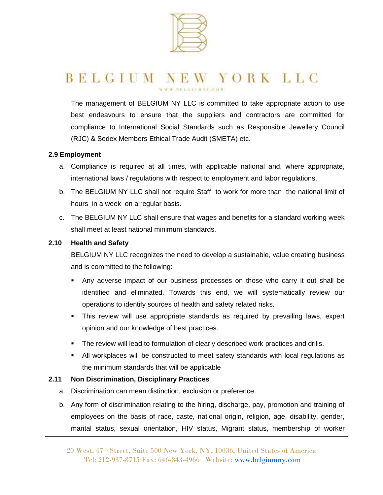

The management of BELGIUM NY LLC is committed to take appropriate action to use best endeavours to ensure that the suppliers and contractors are committed for compliance to International Social Standards such as Responsible Jewellery Council (RJC) & Sedex Members Ethical Trade Audit (SMETA) etc.

### **2.9 Employment**

- a. Compliance is required at all times, with applicable national and, where appropriate, international laws / regulations with respect to employment and labor regulations.
- b. The BELGIUM NY LLC shall not require Staff to work for more than the national limit of hours in a week on a regular basis.
- c. The BELGIUM NY LLC shall ensure that wages and benefits for a standard working week shall meet at least national minimum standards.

#### **2.10 Health and Safety**

BELGIUM NY LLC recognizes the need to develop a sustainable, value creating business and is committed to the following:

- Any adverse impact of our business processes on those who carry it out shall be identified and eliminated. Towards this end, we will systematically review our operations to identify sources of health and safety related risks.
- This review will use appropriate standards as required by prevailing laws, expert opinion and our knowledge of best practices.
- **The review will lead to formulation of clearly described work practices and drills.**
- All workplaces will be constructed to meet safety standards with local regulations as the minimum standards that will be applicable

### **2.11 Non Discrimination, Disciplinary Practices**

- a. Discrimination can mean distinction, exclusion or preference.
- b. Any form of discrimination relating to the hiring, discharge, pay, promotion and training of employees on the basis of race, caste, national origin, religion, age, disability, gender, marital status, sexual orientation, HIV status, Migrant status, membership of worker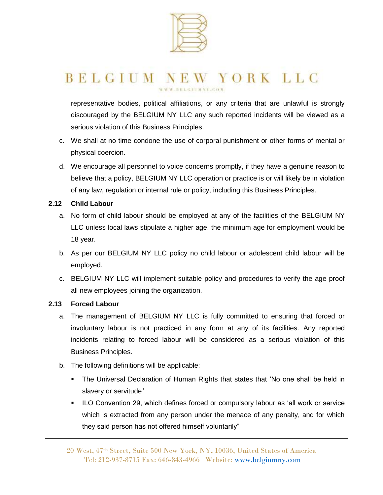

representative bodies, political affiliations, or any criteria that are unlawful is strongly discouraged by the BELGIUM NY LLC any such reported incidents will be viewed as a serious violation of this Business Principles.

- c. We shall at no time condone the use of corporal punishment or other forms of mental or physical coercion.
- d. We encourage all personnel to voice concerns promptly, if they have a genuine reason to believe that a policy, BELGIUM NY LLC operation or practice is or will likely be in violation of any law, regulation or internal rule or policy, including this Business Principles.

### **2.12 Child Labour**

- a. No form of child labour should be employed at any of the facilities of the BELGIUM NY LLC unless local laws stipulate a higher age, the minimum age for employment would be 18 year.
- b. As per our BELGIUM NY LLC policy no child labour or adolescent child labour will be employed.
- c. BELGIUM NY LLC will implement suitable policy and procedures to verify the age proof all new employees joining the organization.

### **2.13 Forced Labour**

- a. The management of BELGIUM NY LLC is fully committed to ensuring that forced or involuntary labour is not practiced in any form at any of its facilities. Any reported incidents relating to forced labour will be considered as a serious violation of this Business Principles.
- b. The following definitions will be applicable:
	- The Universal Declaration of Human Rights that states that 'No one shall be held in slavery or servitude*'*
	- **ILO Convention 29, which defines forced or compulsory labour as 'all work or service** which is extracted from any person under the menace of any penalty, and for which they said person has not offered himself voluntarily"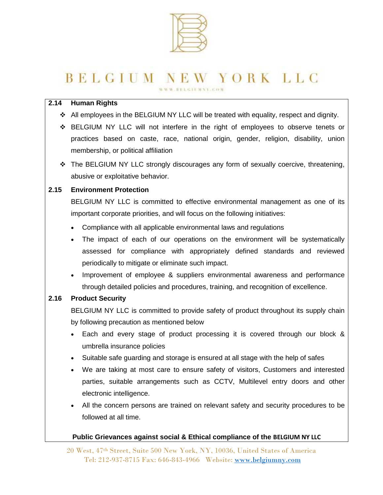

#### **2.14 Human Rights**

- $\cdot$  All employees in the BELGIUM NY LLC will be treated with equality, respect and dignity.
- BELGIUM NY LLC will not interfere in the right of employees to observe tenets or practices based on caste, race, national origin, gender, religion, disability, union membership, or political affiliation
- \* The BELGIUM NY LLC strongly discourages any form of sexually coercive, threatening, abusive or exploitative behavior.

#### **2.15 Environment Protection**

BELGIUM NY LLC is committed to effective environmental management as one of its important corporate priorities, and will focus on the following initiatives:

- Compliance with all applicable environmental laws and regulations
- The impact of each of our operations on the environment will be systematically assessed for compliance with appropriately defined standards and reviewed periodically to mitigate or eliminate such impact.
- Improvement of employee & suppliers environmental awareness and performance through detailed policies and procedures, training, and recognition of excellence.

#### **2.16 Product Security**

BELGIUM NY LLC is committed to provide safety of product throughout its supply chain by following precaution as mentioned below

- Each and every stage of product processing it is covered through our block & umbrella insurance policies
- Suitable safe guarding and storage is ensured at all stage with the help of safes
- We are taking at most care to ensure safety of visitors, Customers and interested parties, suitable arrangements such as CCTV, Multilevel entry doors and other electronic intelligence.
- All the concern persons are trained on relevant safety and security procedures to be followed at all time.

#### **Public Grievances against social & Ethical compliance of the BELGIUM NY LLC**

20 West, 47th Street, Suite 500 New York, NY, 10036, United States of America Tel: 212-937-8715 Fax: 646-843-4966 Website: [www.belgiumny.com](http://www.belgiumny.com/)